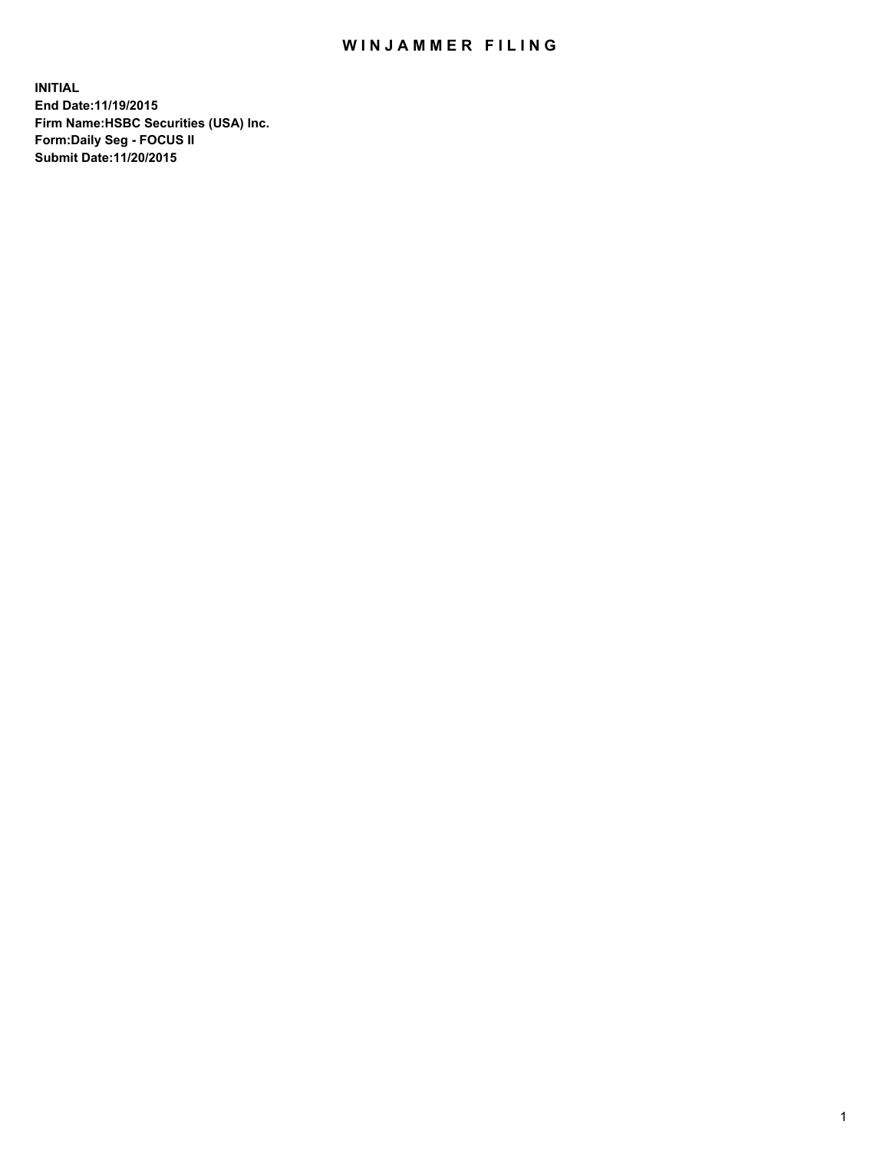## WIN JAMMER FILING

**INITIAL End Date:11/19/2015 Firm Name:HSBC Securities (USA) Inc. Form:Daily Seg - FOCUS II Submit Date:11/20/2015**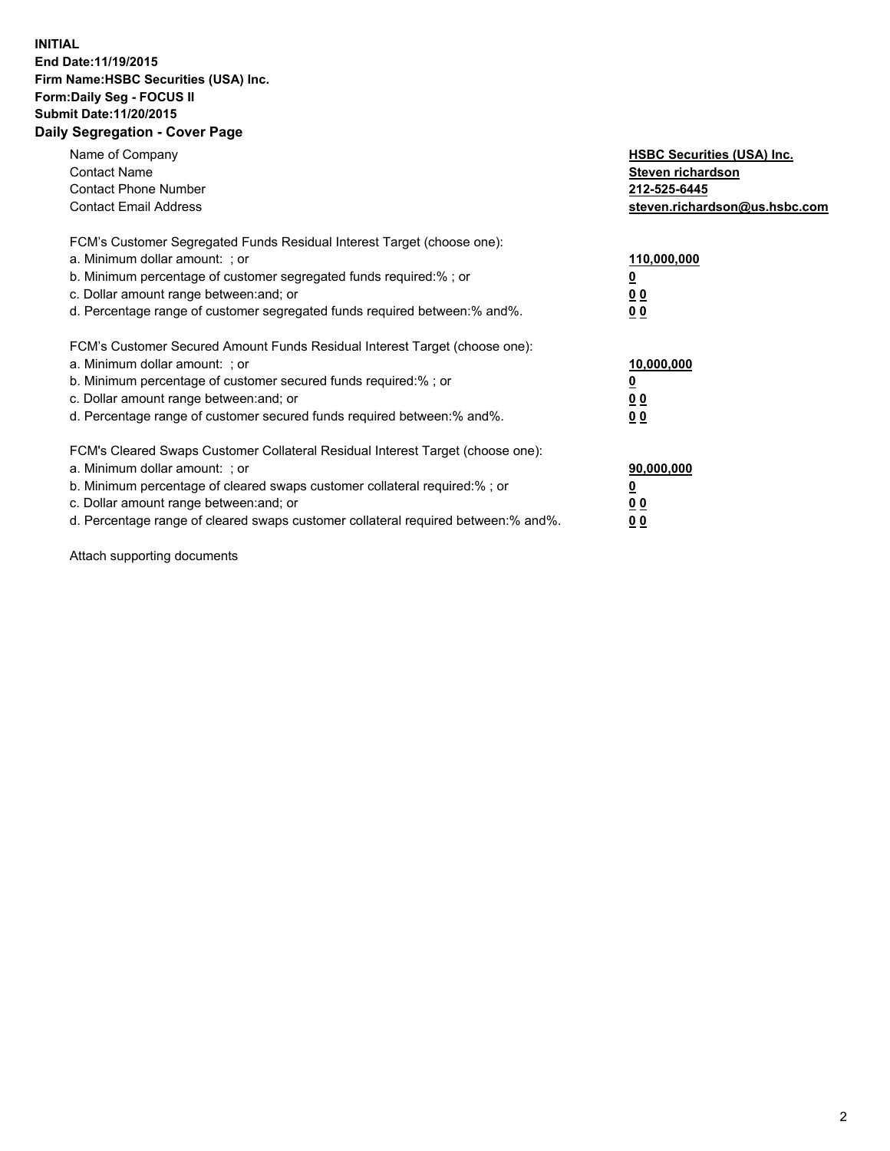## **INITIAL End Date:11/19/2015 Firm Name:HSBC Securities (USA) Inc. Form:Daily Seg - FOCUS II Submit Date:11/20/2015 Daily Segregation - Cover Page**

| Name of Company<br><b>Contact Name</b><br><b>Contact Phone Number</b><br><b>Contact Email Address</b>                                                                                                                                                                                                                         | <b>HSBC Securities (USA) Inc.</b><br>Steven richardson<br>212-525-6445<br>steven.richardson@us.hsbc.com |
|-------------------------------------------------------------------------------------------------------------------------------------------------------------------------------------------------------------------------------------------------------------------------------------------------------------------------------|---------------------------------------------------------------------------------------------------------|
| FCM's Customer Segregated Funds Residual Interest Target (choose one):<br>a. Minimum dollar amount: ; or<br>b. Minimum percentage of customer segregated funds required:% ; or<br>c. Dollar amount range between: and; or<br>d. Percentage range of customer segregated funds required between: % and %.                      | 110,000,000<br>00<br>0 <sub>0</sub>                                                                     |
| FCM's Customer Secured Amount Funds Residual Interest Target (choose one):<br>a. Minimum dollar amount: ; or<br>b. Minimum percentage of customer secured funds required:%; or<br>c. Dollar amount range between: and; or<br>d. Percentage range of customer secured funds required between:% and%.                           | 10,000,000<br>0 <sub>0</sub><br>0 <sub>0</sub>                                                          |
| FCM's Cleared Swaps Customer Collateral Residual Interest Target (choose one):<br>a. Minimum dollar amount: ; or<br>b. Minimum percentage of cleared swaps customer collateral required:%; or<br>c. Dollar amount range between: and; or<br>d. Percentage range of cleared swaps customer collateral required between:% and%. | 90,000,000<br>0 <sub>0</sub><br>00                                                                      |

Attach supporting documents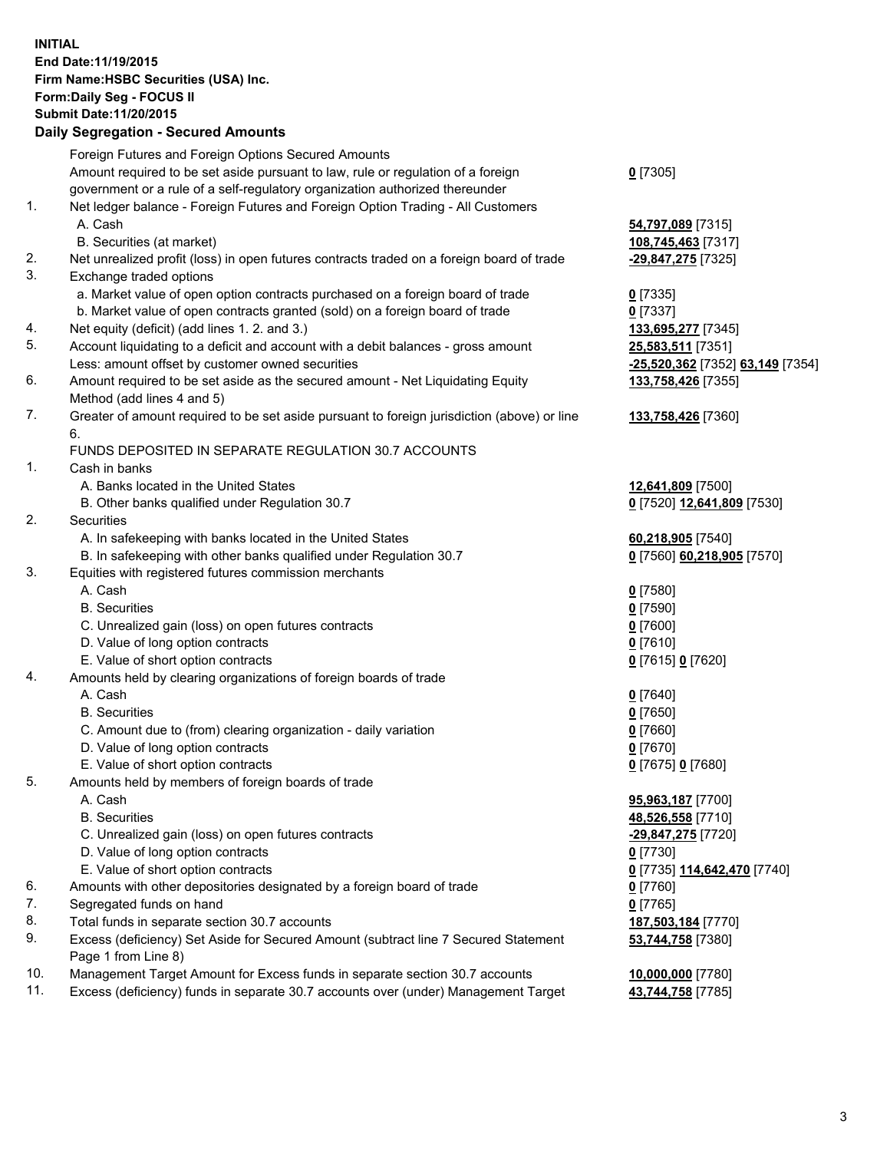**INITIAL End Date:11/19/2015 Firm Name:HSBC Securities (USA) Inc. Form:Daily Seg - FOCUS II Submit Date:11/20/2015**

## **Daily Segregation - Secured Amounts**

|     | Foreign Futures and Foreign Options Secured Amounts                                         |                                                   |
|-----|---------------------------------------------------------------------------------------------|---------------------------------------------------|
|     | Amount required to be set aside pursuant to law, rule or regulation of a foreign            | $0$ [7305]                                        |
|     | government or a rule of a self-regulatory organization authorized thereunder                |                                                   |
| 1.  | Net ledger balance - Foreign Futures and Foreign Option Trading - All Customers             |                                                   |
|     | A. Cash                                                                                     | 54,797,089 [7315]                                 |
|     | B. Securities (at market)                                                                   | 108,745,463 [7317]                                |
| 2.  | Net unrealized profit (loss) in open futures contracts traded on a foreign board of trade   | -29,847,275 [7325]                                |
| 3.  | Exchange traded options                                                                     |                                                   |
|     | a. Market value of open option contracts purchased on a foreign board of trade              | $0$ [7335]                                        |
|     | b. Market value of open contracts granted (sold) on a foreign board of trade                | $0$ [7337]                                        |
| 4.  | Net equity (deficit) (add lines 1. 2. and 3.)                                               | 133,695,277 [7345]                                |
| 5.  | Account liquidating to a deficit and account with a debit balances - gross amount           | 25,583,511 [7351]                                 |
|     | Less: amount offset by customer owned securities                                            | -25,520,362 [7352] 63,149 [7354]                  |
| 6.  | Amount required to be set aside as the secured amount - Net Liquidating Equity              | 133,758,426 [7355]                                |
|     | Method (add lines 4 and 5)                                                                  |                                                   |
| 7.  | Greater of amount required to be set aside pursuant to foreign jurisdiction (above) or line | 133,758,426 [7360]                                |
|     | 6.                                                                                          |                                                   |
|     | FUNDS DEPOSITED IN SEPARATE REGULATION 30.7 ACCOUNTS                                        |                                                   |
| 1.  | Cash in banks                                                                               |                                                   |
|     | A. Banks located in the United States                                                       | 12,641,809 [7500]                                 |
|     | B. Other banks qualified under Regulation 30.7                                              | 0 [7520] 12,641,809 [7530]                        |
| 2.  | Securities                                                                                  |                                                   |
|     | A. In safekeeping with banks located in the United States                                   | 60,218,905 [7540]                                 |
|     | B. In safekeeping with other banks qualified under Regulation 30.7                          | 0 [7560] 60,218,905 [7570]                        |
| 3.  | Equities with registered futures commission merchants                                       |                                                   |
|     | A. Cash                                                                                     | $0$ [7580]                                        |
|     | <b>B.</b> Securities                                                                        | $0$ [7590]                                        |
|     | C. Unrealized gain (loss) on open futures contracts                                         | $0$ [7600]                                        |
|     | D. Value of long option contracts                                                           | $0$ [7610]                                        |
|     | E. Value of short option contracts                                                          | 0 [7615] 0 [7620]                                 |
| 4.  | Amounts held by clearing organizations of foreign boards of trade                           |                                                   |
|     | A. Cash                                                                                     | $0$ [7640]                                        |
|     | <b>B.</b> Securities                                                                        | $0$ [7650]                                        |
|     | C. Amount due to (from) clearing organization - daily variation                             | $0$ [7660]                                        |
|     | D. Value of long option contracts                                                           | $0$ [7670]                                        |
|     | E. Value of short option contracts                                                          | 0 [7675] 0 [7680]                                 |
| 5.  | Amounts held by members of foreign boards of trade                                          |                                                   |
|     | A. Cash                                                                                     | 95,963,187 [7700]                                 |
|     | <b>B.</b> Securities                                                                        | 48,526,558 [7710]                                 |
|     | C. Unrealized gain (loss) on open futures contracts                                         | -29,847,275 [7720]                                |
|     | D. Value of long option contracts                                                           | 0 <sup>[7730]</sup>                               |
|     | E. Value of short option contracts                                                          | 0 <sup>[7735]</sup> 114,642,470 <sup>[7740]</sup> |
| 6.  | Amounts with other depositories designated by a foreign board of trade                      | 0 [7760]                                          |
| 7.  | Segregated funds on hand                                                                    | $0$ [7765]                                        |
| 8.  | Total funds in separate section 30.7 accounts                                               | 187,503,184 [7770]                                |
| 9.  | Excess (deficiency) Set Aside for Secured Amount (subtract line 7 Secured Statement         | 53,744,758 [7380]                                 |
|     | Page 1 from Line 8)                                                                         |                                                   |
| 10. | Management Target Amount for Excess funds in separate section 30.7 accounts                 | 10,000,000 [7780]                                 |
| 11. | Excess (deficiency) funds in separate 30.7 accounts over (under) Management Target          | 43,744,758 [7785]                                 |
|     |                                                                                             |                                                   |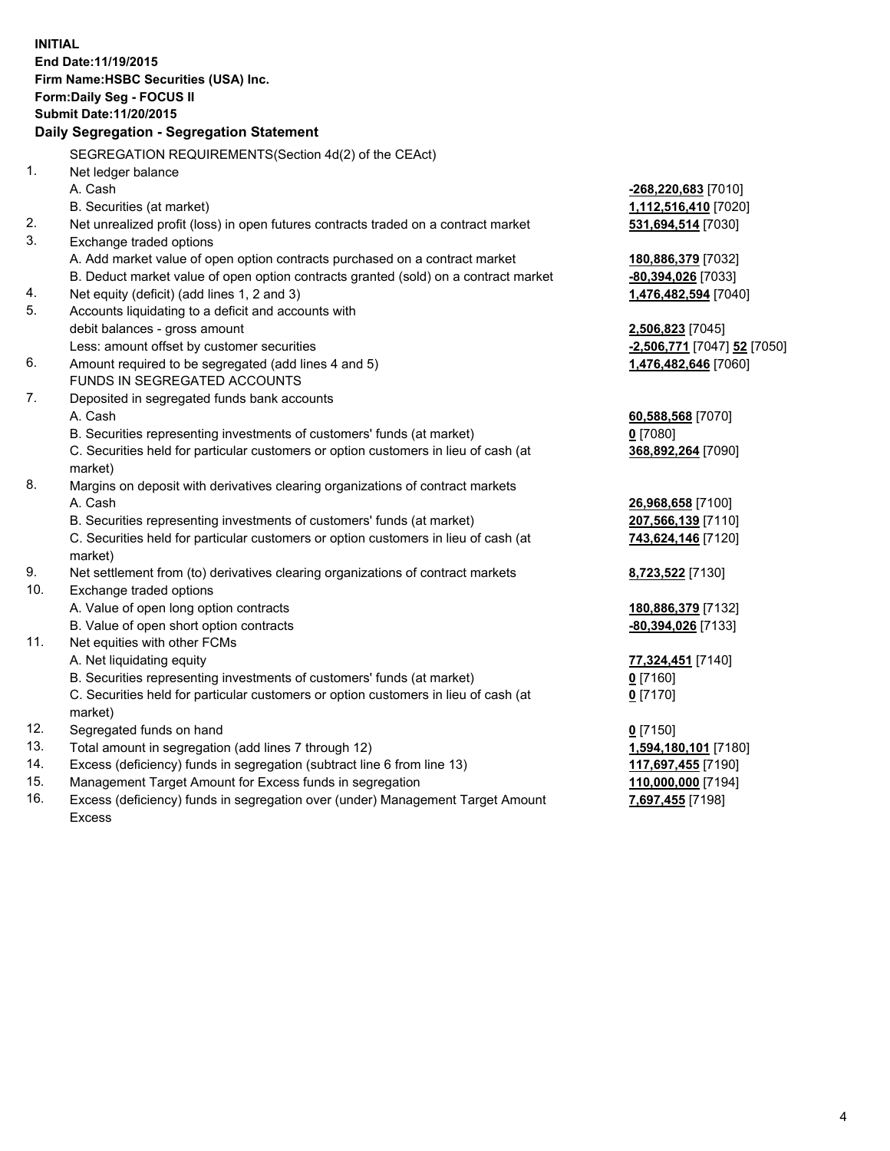**INITIAL End Date:11/19/2015 Firm Name:HSBC Securities (USA) Inc. Form:Daily Seg - FOCUS II Submit Date:11/20/2015 Daily Segregation - Segregation Statement** SEGREGATION REQUIREMENTS(Section 4d(2) of the CEAct) 1. Net ledger balance A. Cash **-268,220,683** [7010] B. Securities (at market) **1,112,516,410** [7020] 2. Net unrealized profit (loss) in open futures contracts traded on a contract market **531,694,514** [7030] 3. Exchange traded options A. Add market value of open option contracts purchased on a contract market **180,886,379** [7032] B. Deduct market value of open option contracts granted (sold) on a contract market **-80,394,026** [7033] 4. Net equity (deficit) (add lines 1, 2 and 3) **1,476,482,594** [7040] 5. Accounts liquidating to a deficit and accounts with debit balances - gross amount **2,506,823** [7045] Less: amount offset by customer securities **-2,506,771** [7047] **52** [7050] 6. Amount required to be segregated (add lines 4 and 5) **1,476,482,646** [7060] FUNDS IN SEGREGATED ACCOUNTS 7. Deposited in segregated funds bank accounts A. Cash **60,588,568** [7070] B. Securities representing investments of customers' funds (at market) **0** [7080] C. Securities held for particular customers or option customers in lieu of cash (at market) **368,892,264** [7090] 8. Margins on deposit with derivatives clearing organizations of contract markets A. Cash **26,968,658** [7100] B. Securities representing investments of customers' funds (at market) **207,566,139** [7110] C. Securities held for particular customers or option customers in lieu of cash (at market) **743,624,146** [7120] 9. Net settlement from (to) derivatives clearing organizations of contract markets **8,723,522** [7130] 10. Exchange traded options A. Value of open long option contracts **180,886,379** [7132] B. Value of open short option contracts **-80,394,026** [7133] 11. Net equities with other FCMs A. Net liquidating equity **77,324,451** [7140] B. Securities representing investments of customers' funds (at market) **0** [7160] C. Securities held for particular customers or option customers in lieu of cash (at market) **0** [7170] 12. Segregated funds on hand **0** [7150] 13. Total amount in segregation (add lines 7 through 12) **1,594,180,101** [7180] 14. Excess (deficiency) funds in segregation (subtract line 6 from line 13) **117,697,455** [7190] 15. Management Target Amount for Excess funds in segregation **110,000,000** [7194]

16. Excess (deficiency) funds in segregation over (under) Management Target Amount Excess

4

**7,697,455** [7198]